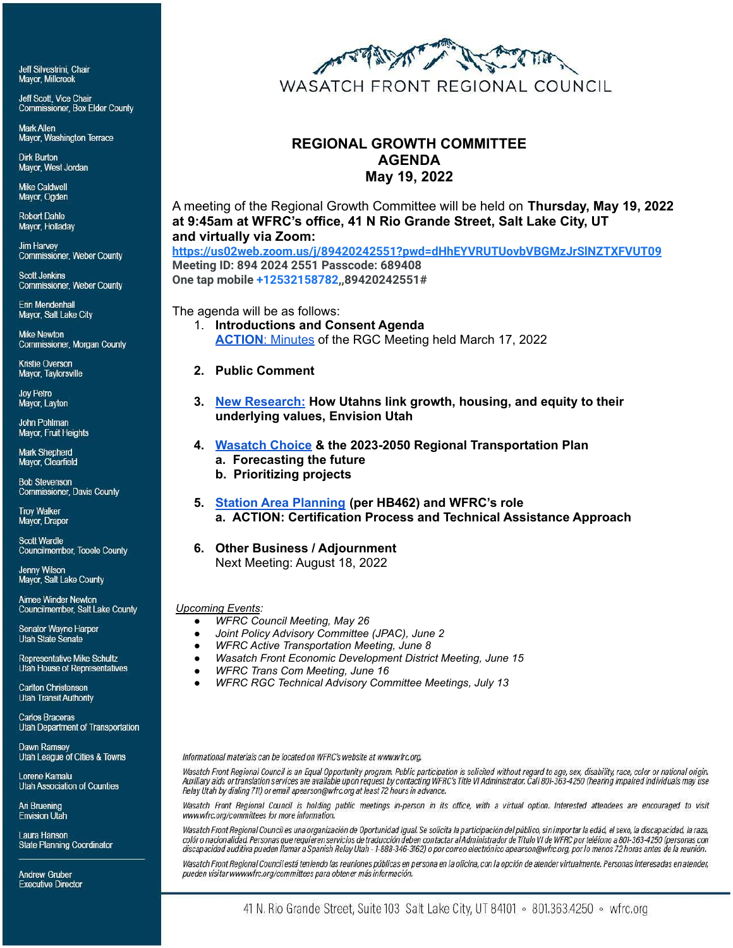Jeff Silvestrini, Chair Mayor, Millcreek

Jeff Scott, Vice Chair **Commissioner, Box Elder County** 

**Mark Allen** Mayor, Washington Terrace

**Dirk Burton** Mayor, West Jordan

**Mike Caldwell** Mayor, Ogden

**Robert Dahle** Mayor, Holladay

**Jim Harvey Commissioner, Weber County** 

**Scott Jenkins Commissioner, Weber County** 

Frin Mendenhall Mayor, Salt Lake City

**Mike Newton** Commissioner, Morgan County

Kristie Overson Mayor, Taylorsville

**Joy Petro** Mayor, Layton

John Pohlman Mayor, Fruit Heights

Mark Shepherd Mayor, Clearfield

**Bob Stevenson** Commissioner, Davis County

**Troy Walker** Mayor, Draper

**Scott Wardle** Councilmember, Tooele County

**Jenny Wilson** Mayor, Salt Lake County

Aimee Winder Newton Councilmember, Salt Lake County

**Senator Wayne Harper Utah State Senate** 

**Representative Mike Schultz** Utah House of Representatives

**Carlton Christensen Utah Transit Authority** 

**Carlos Braceras Utah Department of Transportation** 

Dawn Ramsey Utah League of Cities & Towns

Lorene Kamalu Utah Association of Counties

Ari Bruening **Envision Utah** 

Laura Hanson **State Planning Coordinator** 

**Andrew Gruber Executive Director** 



# **REGIONAL GROWTH COMMITTEE AGENDA May 19, 2022**

A meeting of the Regional Growth Committee will be held on **Thursday, May 19, 2022 at 9:45am at WFRC's office, 41 N Rio Grande Street, Salt Lake City, UT and virtually via Zoom:**

**<https://us02web.zoom.us/j/89420242551?pwd=dHhEYVRUTUovbVBGMzJrSlNZTXFVUT09> Meeting ID: 894 2024 2551 Passcode: 689408 One tap mobile +12532158782,,89420242551#**

The agenda will be as follows:

- 1. **Introductions and Consent Agenda ACTION**[: Minutes](https://wfrc.org/Committees/RegionalGrowth/2022/03_May19/Item2_RGC_2022Mar17_MinutesDRAFT.pdf) of the RGC Meeting held March 17, 2022
- **2. Public Comment**
- **3. [New Research:](https://wfrc.org/Committees/RegionalGrowth/2022/03_May19/Item3_NewResearchHowUtahnslinkgrowth_housing_equitytovalues.pdf) How Utahns link growth, housing, and equity to their underlying values, Envision Utah**
- **4. [Wasatch Choice](https://wfrc.org/Committees/RegionalGrowth/2022/03_May19/Item4_2023_2050RTPUpdate.pdf) & the 2023-2050 Regional Transportation Plan a. Forecasting the future**
	- **b. Prioritizing projects**
- **5. [Station Area Planning](https://wfrc.org//Committees/RegionalGrowth/2022/03_May19/Item5_ProposedWFRCProcessforSAPCertTechAssistance.pdf) (per HB462) and WFRC's role a. ACTION: Certification Process and Technical Assistance Approach**
- **6. Other Business / Adjournment**

Next Meeting: August 18, 2022

#### *Upcoming Events:*

- *● WFRC Council Meeting, May 26*
- *● Joint Policy Advisory Committee (JPAC), June 2*
- *● WFRC Active Transportation Meeting, June 8*
- *● Wasatch Front Economic Development District Meeting, June 15*
- *● WFRC Trans Com Meeting, June 16*
- *● WFRC RGC Technical Advisory Committee Meetings, July 13*

Informational materials can be located on WFRC's website at www.wfrc.org.

Wasatch Front Regional Council is an Equal Opportunity program. Public participation is solicited without regard to age, sex, disability, race, color or national origin. Auxiliary aids or translation services are available upon request by contacting WFRC's Title VI Administrator. Call 801-363-4250 (hearing impaired individuals may use Relay Utah by dialing 711) or email apearson@wfrc.org at least 72 hours in advance.

Wasatch Front Regional Council is holding public meetings in-person in its office, with a virtual option. Interested attendees are encouraged to visit www.wfrc.org/committees for more information.

Wasatch Front Regional Council es una organización de Oportunidad Igual. Se solicita la participación del público, sin importar la edád, el sexo, la discapacidad, la raza, colór o nacionalidad. Personas que requieren servicios de traducción deben contactar al Administrador de Título VI de WFRC por teléfono a 801-363-4250 (personas con discapacidad auditiva pueden llamar a Spanish Relay Utah - 1-888-346-3162) o por correo electrónico apearson@wfrc.org, por lo menos 72 horas antes de la reunión.

Wasatch Front Regional Council está teniendo las reuniones públicas en persona en la oficina, con la opción de atender virtualmente. Personas interesadas en atender, pueden visitar www.wfrc.org/committees para obtener más información.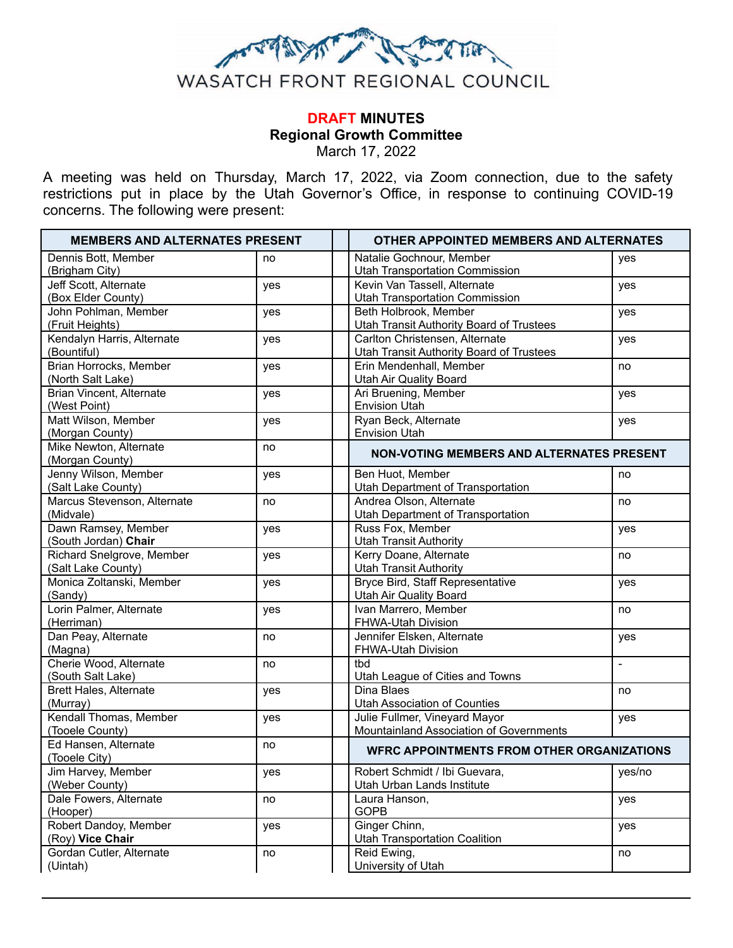

# **DRAFT MINUTES Regional Growth Committee** March 17, 2022

A meeting was held on Thursday, March 17, 2022, via Zoom connection, due to the safety restrictions put in place by the Utah Governor's Office, in response to continuing COVID-19 concerns. The following were present:

| <b>MEMBERS AND ALTERNATES PRESENT</b>           |     | OTHER APPOINTED MEMBERS AND ALTERNATES                                            |  |  |
|-------------------------------------------------|-----|-----------------------------------------------------------------------------------|--|--|
| Dennis Bott, Member<br>(Brigham City)           | no  | Natalie Gochnour, Member<br>yes<br>Utah Transportation Commission                 |  |  |
| Jeff Scott, Alternate<br>(Box Elder County)     | yes | Kevin Van Tassell, Alternate<br>yes<br><b>Utah Transportation Commission</b>      |  |  |
| John Pohlman, Member<br>(Fruit Heights)         | yes | Beth Holbrook, Member<br>yes<br><b>Utah Transit Authority Board of Trustees</b>   |  |  |
| Kendalyn Harris, Alternate<br>(Bountiful)       | yes | Carlton Christensen, Alternate<br>yes<br>Utah Transit Authority Board of Trustees |  |  |
| Brian Horrocks, Member<br>(North Salt Lake)     | yes | Erin Mendenhall, Member<br>no<br>Utah Air Quality Board                           |  |  |
| <b>Brian Vincent, Alternate</b><br>(West Point) | yes | Ari Bruening, Member<br>yes<br><b>Envision Utah</b>                               |  |  |
| Matt Wilson, Member<br>(Morgan County)          | yes | Ryan Beck, Alternate<br>yes<br><b>Envision Utah</b>                               |  |  |
| Mike Newton, Alternate<br>(Morgan County)       | no  | <b>NON-VOTING MEMBERS AND ALTERNATES PRESENT</b>                                  |  |  |
| Jenny Wilson, Member<br>(Salt Lake County)      | yes | Ben Huot, Member<br>no<br>Utah Department of Transportation                       |  |  |
| Marcus Stevenson, Alternate<br>(Midvale)        | no  | Andrea Olson, Alternate<br>no<br>Utah Department of Transportation                |  |  |
| Dawn Ramsey, Member<br>(South Jordan) Chair     | yes | Russ Fox, Member<br>yes<br><b>Utah Transit Authority</b>                          |  |  |
| Richard Snelgrove, Member<br>(Salt Lake County) | yes | Kerry Doane, Alternate<br>no<br><b>Utah Transit Authority</b>                     |  |  |
| Monica Zoltanski, Member<br>(Sandy)             | yes | Bryce Bird, Staff Representative<br>yes<br><b>Utah Air Quality Board</b>          |  |  |
| Lorin Palmer, Alternate<br>(Herriman)           | yes | Ivan Marrero, Member<br>no<br>FHWA-Utah Division                                  |  |  |
| Dan Peay, Alternate<br>(Magna)                  | no  | Jennifer Elsken, Alternate<br>yes<br>FHWA-Utah Division                           |  |  |
| Cherie Wood, Alternate<br>(South Salt Lake)     | no  | tbd<br>$\blacksquare$<br>Utah League of Cities and Towns                          |  |  |
| Brett Hales, Alternate<br>(Murray)              | yes | Dina Blaes<br>no<br><b>Utah Association of Counties</b>                           |  |  |
| Kendall Thomas, Member<br>(Tooele County)       | yes | Julie Fullmer, Vineyard Mayor<br>yes<br>Mountainland Association of Governments   |  |  |
| Ed Hansen, Alternate<br>(Tooele City)           | no  | <b>WFRC APPOINTMENTS FROM OTHER ORGANIZATIONS</b>                                 |  |  |
| Jim Harvey, Member<br>(Weber County)            | yes | Robert Schmidt / Ibi Guevara,<br>yes/no<br>Utah Urban Lands Institute             |  |  |
| Dale Fowers, Alternate<br>(Hooper)              | no  | Laura Hanson,<br>yes<br><b>GOPB</b>                                               |  |  |
| Robert Dandoy, Member<br>(Roy) Vice Chair       | yes | Ginger Chinn,<br>yes<br><b>Utah Transportation Coalition</b>                      |  |  |
| Gordan Cutler, Alternate<br>(Uintah)            | no  | Reid Ewing,<br>no<br>University of Utah                                           |  |  |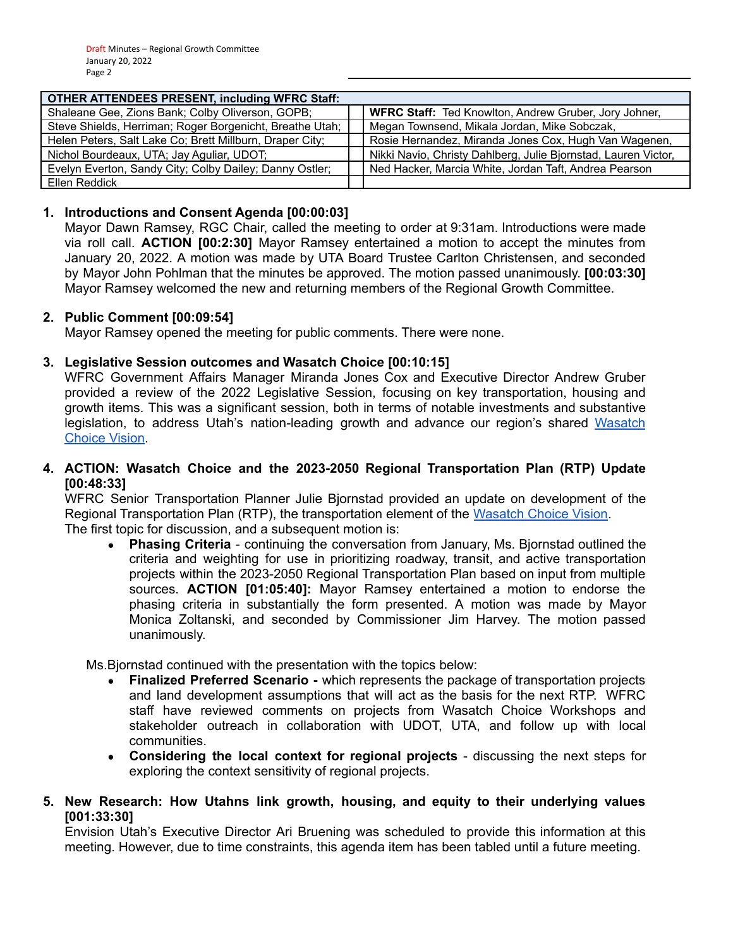| <b>OTHER ATTENDEES PRESENT, including WFRC Staff:</b>    |  |                                                                |  |  |
|----------------------------------------------------------|--|----------------------------------------------------------------|--|--|
| Shaleane Gee, Zions Bank; Colby Oliverson, GOPB;         |  | <b>WFRC Staff:</b> Ted Knowlton, Andrew Gruber, Jory Johner,   |  |  |
| Steve Shields, Herriman; Roger Borgenicht, Breathe Utah; |  | Megan Townsend, Mikala Jordan, Mike Sobczak,                   |  |  |
| Helen Peters, Salt Lake Co; Brett Millburn, Draper City; |  | Rosie Hernandez, Miranda Jones Cox, Hugh Van Wagenen,          |  |  |
| Nichol Bourdeaux, UTA; Jay Aguliar, UDOT;                |  | Nikki Navio, Christy Dahlberg, Julie Bjornstad, Lauren Victor, |  |  |
| Evelyn Everton, Sandy City; Colby Dailey; Danny Ostler;  |  | Ned Hacker, Marcia White, Jordan Taft, Andrea Pearson          |  |  |
| Ellen Reddick                                            |  |                                                                |  |  |

# **1. Introductions and Consent Agenda [00:00:03]**

Mayor Dawn Ramsey, RGC Chair, called the meeting to order at 9:31am. Introductions were made via roll call. **ACTION [00:2:30]** Mayor Ramsey entertained a motion to accept the minutes from January 20, 2022. A motion was made by UTA Board Trustee Carlton Christensen, and seconded by Mayor John Pohlman that the minutes be approved. The motion passed unanimously. **[00:03:30]** Mayor Ramsey welcomed the new and returning members of the Regional Growth Committee.

### **2. Public Comment [00:09:54]**

Mayor Ramsey opened the meeting for public comments. There were none.

# **3. Legislative Session outcomes and Wasatch Choice [00:10:15]**

WFRC Government Affairs Manager Miranda Jones Cox and Executive Director Andrew Gruber provided a review of the 2022 Legislative Session, focusing on key transportation, housing and growth items. This was a significant session, both in terms of notable investments and substantive legislation, to address Utah's nation-leading growth and advance our region's shared [Wasatch](https://wfrc.org/wasatch-choice-regional-vision-wcrv/) [Choice](https://wfrc.org/wasatch-choice-regional-vision-wcrv/) Vision.

#### **4. ACTION: Wasatch Choice and the 2023-2050 Regional Transportation Plan (RTP) Update [00:48:33]**

WFRC Senior Transportation Planner Julie Bjornstad provided an update on development of the Regional Transportation Plan (RTP), the transportation element of the [Wasatch](https://wfrc.org/wasatch-choice-regional-vision-wcrv/) Choice Vision. The first topic for discussion, and a subsequent motion is:

**● Phasing Criteria** - continuing the conversation from January, Ms. Bjornstad outlined the criteria and weighting for use in prioritizing roadway, transit, and active transportation projects within the 2023-2050 Regional Transportation Plan based on input from multiple sources. **ACTION [01:05:40]:** Mayor Ramsey entertained a motion to endorse the phasing criteria in substantially the form presented. A motion was made by Mayor Monica Zoltanski, and seconded by Commissioner Jim Harvey. The motion passed unanimously.

Ms.Bjornstad continued with the presentation with the topics below:

- **● Finalized Preferred Scenario -** which represents the package of transportation projects and land development assumptions that will act as the basis for the next RTP. WFRC staff have reviewed comments on projects from Wasatch Choice Workshops and stakeholder outreach in collaboration with UDOT, UTA, and follow up with local communities.
- **● Considering the local context for regional projects** discussing the next steps for exploring the context sensitivity of regional projects.
- **5. New Research: How Utahns link growth, housing, and equity to their underlying values [001:33:30]**

Envision Utah's Executive Director Ari Bruening was scheduled to provide this information at this meeting. However, due to time constraints, this agenda item has been tabled until a future meeting.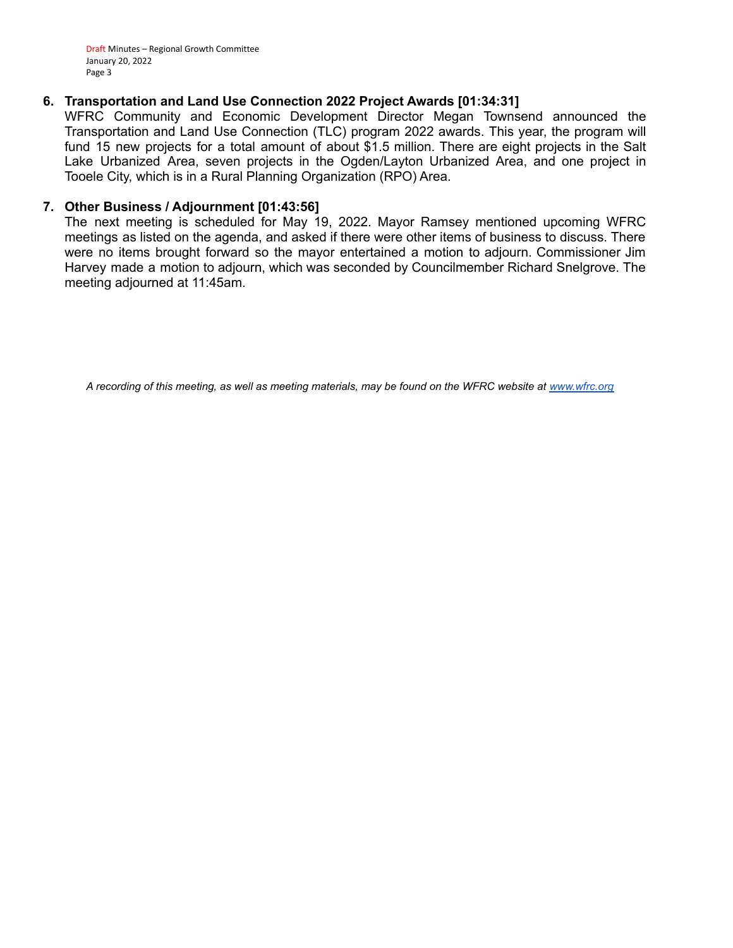Draft Minutes – Regional Growth Committee January 20, 2022 Page 3

#### **6. Transportation and Land Use Connection 2022 Project Awards [01:34:31]**

WFRC Community and Economic Development Director Megan Townsend announced the Transportation and Land Use Connection (TLC) program 2022 awards. This year, the program will fund 15 new projects for a total amount of about \$1.5 million. There are eight projects in the Salt Lake Urbanized Area, seven projects in the Ogden/Layton Urbanized Area, and one project in Tooele City, which is in a Rural Planning Organization (RPO) Area.

#### **7. Other Business / Adjournment [01:43:56]**

The next meeting is scheduled for May 19, 2022. Mayor Ramsey mentioned upcoming WFRC meetings as listed on the agenda, and asked if there were other items of business to discuss. There were no items brought forward so the mayor entertained a motion to adjourn. Commissioner Jim Harvey made a motion to adjourn, which was seconded by Councilmember Richard Snelgrove. The meeting adjourned at 11:45am.

*A recording of this meeting, as well as meeting materials, may be found on the WFRC website at [www.wfrc.org](http://www.wfrc.org/)*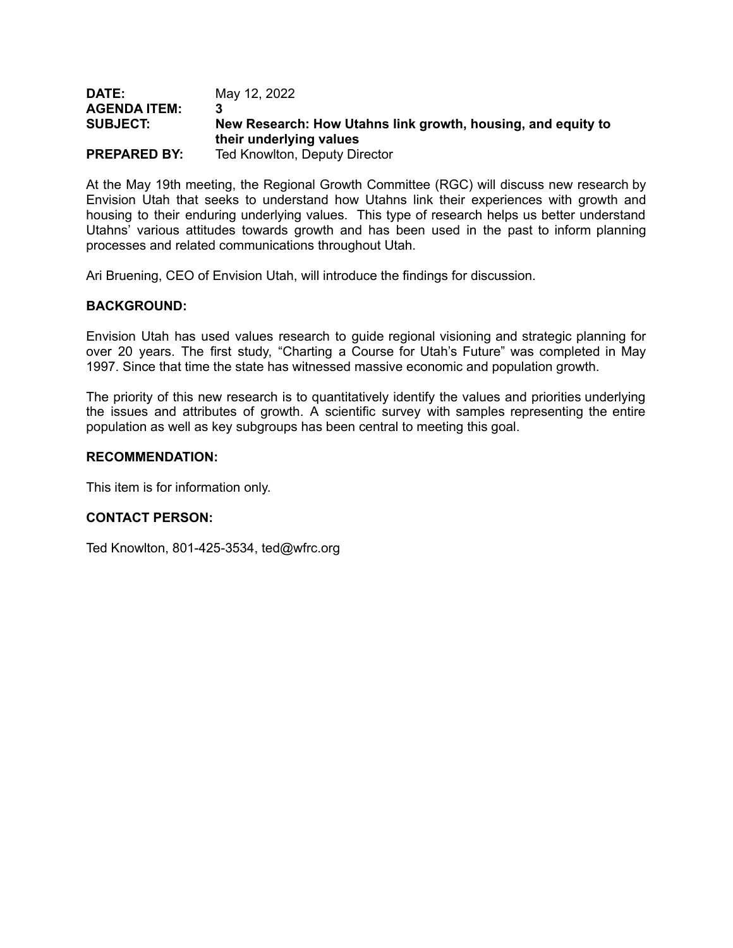#### **DATE:** May 12, 2022 **AGENDA ITEM: 3 SUBJECT: New Research: How Utahns link growth, housing, and equity to their underlying values PREPARED BY:** Ted Knowlton, Deputy Director

At the May 19th meeting, the Regional Growth Committee (RGC) will discuss new research by Envision Utah that seeks to understand how Utahns link their experiences with growth and housing to their enduring underlying values. This type of research helps us better understand Utahns' various attitudes towards growth and has been used in the past to inform planning processes and related communications throughout Utah.

Ari Bruening, CEO of Envision Utah, will introduce the findings for discussion.

### **BACKGROUND:**

Envision Utah has used values research to guide regional visioning and strategic planning for over 20 years. The first study, "Charting a Course for Utah's Future" was completed in May 1997. Since that time the state has witnessed massive economic and population growth.

The priority of this new research is to quantitatively identify the values and priorities underlying the issues and attributes of growth. A scientific survey with samples representing the entire population as well as key subgroups has been central to meeting this goal.

#### **RECOMMENDATION:**

This item is for information only.

### **CONTACT PERSON:**

Ted Knowlton, 801-425-3534, ted@wfrc.org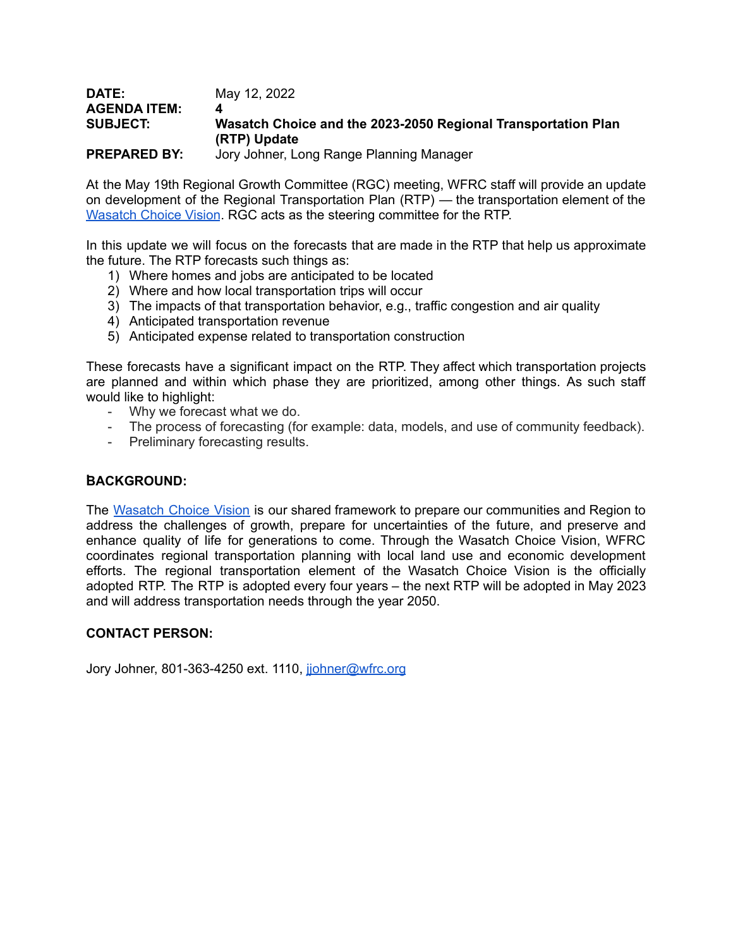#### **DATE:** May 12, 2022 **AGENDA ITEM: 4 SUBJECT: Wasatch Choice and the 2023-2050 Regional Transportation Plan (RTP) Update PREPARED BY:** Jory Johner, Long Range Planning Manager

At the May 19th Regional Growth Committee (RGC) meeting, WFRC staff will provide an update on development of the Regional Transportation Plan (RTP) — the transportation element of the [Wasatch](https://wfrc.org/wasatch-choice-regional-vision-wcrv/) Choice Vision. RGC acts as the steering committee for the RTP.

In this update we will focus on the forecasts that are made in the RTP that help us approximate the future. The RTP forecasts such things as:

- 1) Where homes and jobs are anticipated to be located
- 2) Where and how local transportation trips will occur
- 3) The impacts of that transportation behavior, e.g., traffic congestion and air quality
- 4) Anticipated transportation revenue
- 5) Anticipated expense related to transportation construction

These forecasts have a significant impact on the RTP. They affect which transportation projects are planned and within which phase they are prioritized, among other things. As such staff would like to highlight:

- Why we forecast what we do.
- The process of forecasting (for example: data, models, and use of community feedback).
- Preliminary forecasting results.

### **,BACKGROUND:**

The [Wasatch](https://wfrc.org/wasatch-choice-regional-vision-wcrv/) Choice Vision is our shared framework to prepare our communities and Region to address the challenges of growth, prepare for uncertainties of the future, and preserve and enhance quality of life for generations to come. Through the Wasatch Choice Vision, WFRC coordinates regional transportation planning with local land use and economic development efforts. The regional transportation element of the Wasatch Choice Vision is the officially adopted RTP. The RTP is adopted every four years – the next RTP will be adopted in May 2023 and will address transportation needs through the year 2050.

### **CONTACT PERSON:**

Jory Johner, 801-363-4250 ext. 1110, johner@wfrc.org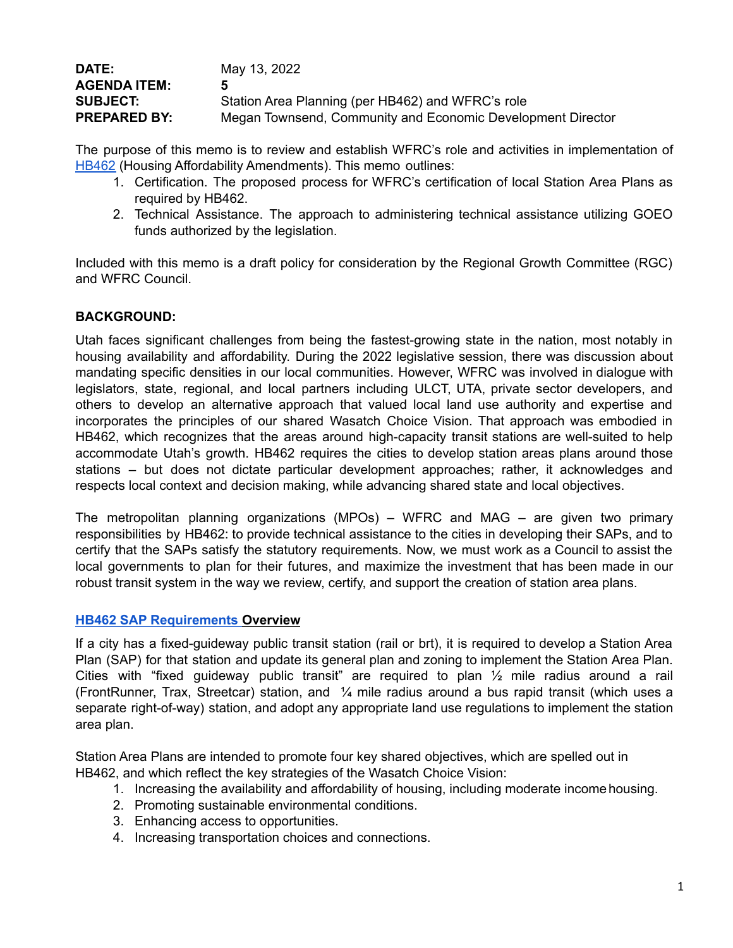| May 13, 2022                                                |
|-------------------------------------------------------------|
| 5                                                           |
| Station Area Planning (per HB462) and WFRC's role           |
| Megan Townsend, Community and Economic Development Director |
|                                                             |

The purpose of this memo is to review and establish WFRC's role and activities in implementation of [HB462](https://le.utah.gov/~2022/bills/static/HB0462.html) (Housing Affordability Amendments). This memo outlines:

- 1. Certification. The proposed process for WFRC's certification of local Station Area Plans as required by HB462.
- 2. Technical Assistance. The approach to administering technical assistance utilizing GOEO funds authorized by the legislation.

Included with this memo is a draft policy for consideration by the Regional Growth Committee (RGC) and WFRC Council.

# **BACKGROUND:**

Utah faces significant challenges from being the fastest-growing state in the nation, most notably in housing availability and affordability. During the 2022 legislative session, there was discussion about mandating specific densities in our local communities. However, WFRC was involved in dialogue with legislators, state, regional, and local partners including ULCT, UTA, private sector developers, and others to develop an alternative approach that valued local land use authority and expertise and incorporates the principles of our shared Wasatch Choice Vision. That approach was embodied in HB462, which recognizes that the areas around high-capacity transit stations are well-suited to help accommodate Utah's growth. HB462 requires the cities to develop station areas plans around those stations – but does not dictate particular development approaches; rather, it acknowledges and respects local context and decision making, while advancing shared state and local objectives.

The metropolitan planning organizations (MPOs) – WFRC and MAG – are given two primary responsibilities by HB462: to provide technical assistance to the cities in developing their SAPs, and to certify that the SAPs satisfy the statutory requirements. Now, we must work as a Council to assist the local governments to plan for their futures, and maximize the investment that has been made in our robust transit system in the way we review, certify, and support the creation of station area plans.

### **HB462 SAP [Requirements](https://docs.google.com/document/d/1GOVsDpJme-y8vjB7yqTWr22ASacw_XqlqlpVkk181Tg/edit) Overview**

If a city has a fixed-guideway public transit station (rail or brt), it is required to develop a Station Area Plan (SAP) for that station and update its general plan and zoning to implement the Station Area Plan. Cities with "fixed guideway public transit" are required to plan ½ mile radius around a rail (FrontRunner, Trax, Streetcar) station, and ¼ mile radius around a bus rapid transit (which uses a separate right-of-way) station, and adopt any appropriate land use regulations to implement the station area plan.

Station Area Plans are intended to promote four key shared objectives, which are spelled out in HB462, and which reflect the key strategies of the Wasatch Choice Vision:

- 1. Increasing the availability and affordability of housing, including moderate income housing.
- 2. Promoting sustainable environmental conditions.
- 3. Enhancing access to opportunities.
- 4. Increasing transportation choices and connections.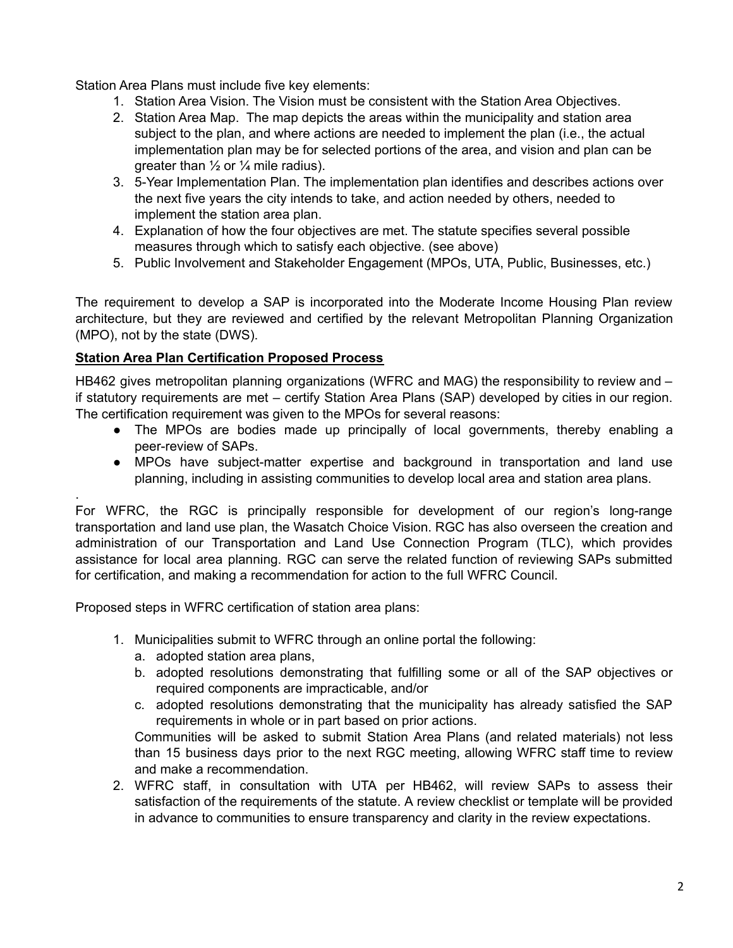Station Area Plans must include five key elements:

- 1. Station Area Vision. The Vision must be consistent with the Station Area Objectives.
- 2. Station Area Map. The map depicts the areas within the municipality and station area subject to the plan, and where actions are needed to implement the plan (i.e., the actual implementation plan may be for selected portions of the area, and vision and plan can be greater than  $\frac{1}{2}$  or  $\frac{1}{4}$  mile radius).
- 3. 5-Year Implementation Plan. The implementation plan identifies and describes actions over the next five years the city intends to take, and action needed by others, needed to implement the station area plan.
- 4. Explanation of how the four objectives are met. The statute specifies several possible measures through which to satisfy each objective. (see above)
- 5. Public Involvement and Stakeholder Engagement (MPOs, UTA, Public, Businesses, etc.)

The requirement to develop a SAP is incorporated into the Moderate Income Housing Plan review architecture, but they are reviewed and certified by the relevant Metropolitan Planning Organization (MPO), not by the state (DWS).

# **Station Area Plan Certification Proposed Process**

.

HB462 gives metropolitan planning organizations (WFRC and MAG) the responsibility to review and if statutory requirements are met – certify Station Area Plans (SAP) developed by cities in our region. The certification requirement was given to the MPOs for several reasons:

- The MPOs are bodies made up principally of local governments, thereby enabling a peer-review of SAPs.
- MPOs have subject-matter expertise and background in transportation and land use planning, including in assisting communities to develop local area and station area plans.

For WFRC, the RGC is principally responsible for development of our region's long-range transportation and land use plan, the Wasatch Choice Vision. RGC has also overseen the creation and administration of our Transportation and Land Use Connection Program (TLC), which provides assistance for local area planning. RGC can serve the related function of reviewing SAPs submitted for certification, and making a recommendation for action to the full WFRC Council.

Proposed steps in WFRC certification of station area plans:

- 1. Municipalities submit to WFRC through an online portal the following:
	- a. adopted station area plans,
	- b. adopted resolutions demonstrating that fulfilling some or all of the SAP objectives or required components are impracticable, and/or
	- c. adopted resolutions demonstrating that the municipality has already satisfied the SAP requirements in whole or in part based on prior actions.

Communities will be asked to submit Station Area Plans (and related materials) not less than 15 business days prior to the next RGC meeting, allowing WFRC staff time to review and make a recommendation.

2. WFRC staff, in consultation with UTA per HB462, will review SAPs to assess their satisfaction of the requirements of the statute. A review checklist or template will be provided in advance to communities to ensure transparency and clarity in the review expectations.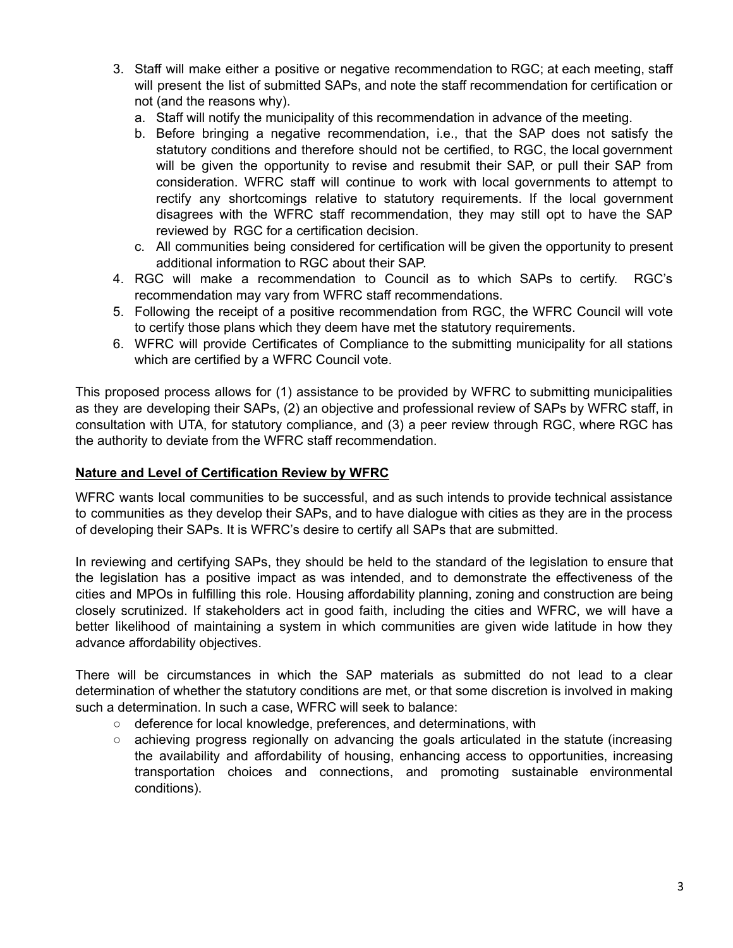- 3. Staff will make either a positive or negative recommendation to RGC; at each meeting, staff will present the list of submitted SAPs, and note the staff recommendation for certification or not (and the reasons why).
	- a. Staff will notify the municipality of this recommendation in advance of the meeting.
	- b. Before bringing a negative recommendation, i.e., that the SAP does not satisfy the statutory conditions and therefore should not be certified, to RGC, the local government will be given the opportunity to revise and resubmit their SAP, or pull their SAP from consideration. WFRC staff will continue to work with local governments to attempt to rectify any shortcomings relative to statutory requirements. If the local government disagrees with the WFRC staff recommendation, they may still opt to have the SAP reviewed by RGC for a certification decision.
	- c. All communities being considered for certification will be given the opportunity to present additional information to RGC about their SAP.
- 4. RGC will make a recommendation to Council as to which SAPs to certify. RGC's recommendation may vary from WFRC staff recommendations.
- 5. Following the receipt of a positive recommendation from RGC, the WFRC Council will vote to certify those plans which they deem have met the statutory requirements.
- 6. WFRC will provide Certificates of Compliance to the submitting municipality for all stations which are certified by a WFRC Council vote.

This proposed process allows for (1) assistance to be provided by WFRC to submitting municipalities as they are developing their SAPs, (2) an objective and professional review of SAPs by WFRC staff, in consultation with UTA, for statutory compliance, and (3) a peer review through RGC, where RGC has the authority to deviate from the WFRC staff recommendation.

# **Nature and Level of Certification Review by WFRC**

WFRC wants local communities to be successful, and as such intends to provide technical assistance to communities as they develop their SAPs, and to have dialogue with cities as they are in the process of developing their SAPs. It is WFRC's desire to certify all SAPs that are submitted.

In reviewing and certifying SAPs, they should be held to the standard of the legislation to ensure that the legislation has a positive impact as was intended, and to demonstrate the effectiveness of the cities and MPOs in fulfilling this role. Housing affordability planning, zoning and construction are being closely scrutinized. If stakeholders act in good faith, including the cities and WFRC, we will have a better likelihood of maintaining a system in which communities are given wide latitude in how they advance affordability objectives.

There will be circumstances in which the SAP materials as submitted do not lead to a clear determination of whether the statutory conditions are met, or that some discretion is involved in making such a determination. In such a case, WFRC will seek to balance:

- deference for local knowledge, preferences, and determinations, with
- $\circ$  achieving progress regionally on advancing the goals articulated in the statute (increasing the availability and affordability of housing, enhancing access to opportunities, increasing transportation choices and connections, and promoting sustainable environmental conditions).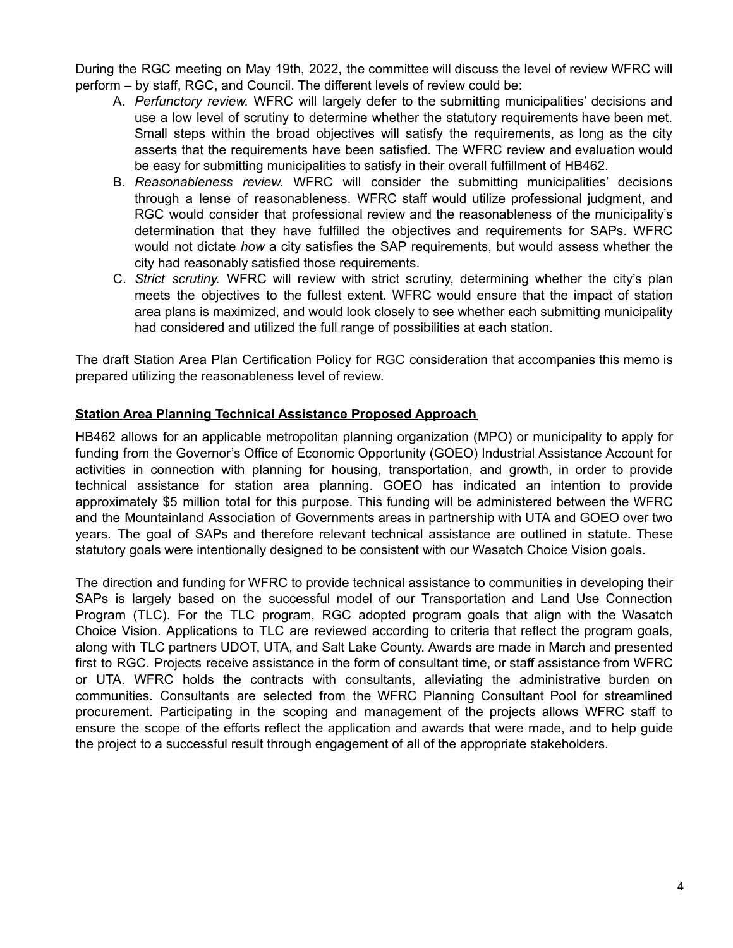During the RGC meeting on May 19th, 2022, the committee will discuss the level of review WFRC will perform – by staff, RGC, and Council. The different levels of review could be:

- A. *Perfunctory review.* WFRC will largely defer to the submitting municipalities' decisions and use a low level of scrutiny to determine whether the statutory requirements have been met. Small steps within the broad objectives will satisfy the requirements, as long as the city asserts that the requirements have been satisfied. The WFRC review and evaluation would be easy for submitting municipalities to satisfy in their overall fulfillment of HB462.
- B. *Reasonableness review.* WFRC will consider the submitting municipalities' decisions through a lense of reasonableness. WFRC staff would utilize professional judgment, and RGC would consider that professional review and the reasonableness of the municipality's determination that they have fulfilled the objectives and requirements for SAPs. WFRC would not dictate *how* a city satisfies the SAP requirements, but would assess whether the city had reasonably satisfied those requirements.
- C. *Strict scrutiny.* WFRC will review with strict scrutiny, determining whether the city's plan meets the objectives to the fullest extent. WFRC would ensure that the impact of station area plans is maximized, and would look closely to see whether each submitting municipality had considered and utilized the full range of possibilities at each station.

The draft Station Area Plan Certification Policy for RGC consideration that accompanies this memo is prepared utilizing the reasonableness level of review.

# **Station Area Planning Technical Assistance Proposed Approach**

HB462 allows for an applicable metropolitan planning organization (MPO) or municipality to apply for funding from the Governor's Office of Economic Opportunity (GOEO) Industrial Assistance Account for activities in connection with planning for housing, transportation, and growth, in order to provide technical assistance for station area planning. GOEO has indicated an intention to provide approximately \$5 million total for this purpose. This funding will be administered between the WFRC and the Mountainland Association of Governments areas in partnership with UTA and GOEO over two years. The goal of SAPs and therefore relevant technical assistance are outlined in statute. These statutory goals were intentionally designed to be consistent with our Wasatch Choice Vision goals.

The direction and funding for WFRC to provide technical assistance to communities in developing their SAPs is largely based on the successful model of our Transportation and Land Use Connection Program (TLC). For the TLC program, RGC adopted program goals that align with the Wasatch Choice Vision. Applications to TLC are reviewed according to criteria that reflect the program goals, along with TLC partners UDOT, UTA, and Salt Lake County. Awards are made in March and presented first to RGC. Projects receive assistance in the form of consultant time, or staff assistance from WFRC or UTA. WFRC holds the contracts with consultants, alleviating the administrative burden on communities. Consultants are selected from the WFRC Planning Consultant Pool for streamlined procurement. Participating in the scoping and management of the projects allows WFRC staff to ensure the scope of the efforts reflect the application and awards that were made, and to help guide the project to a successful result through engagement of all of the appropriate stakeholders.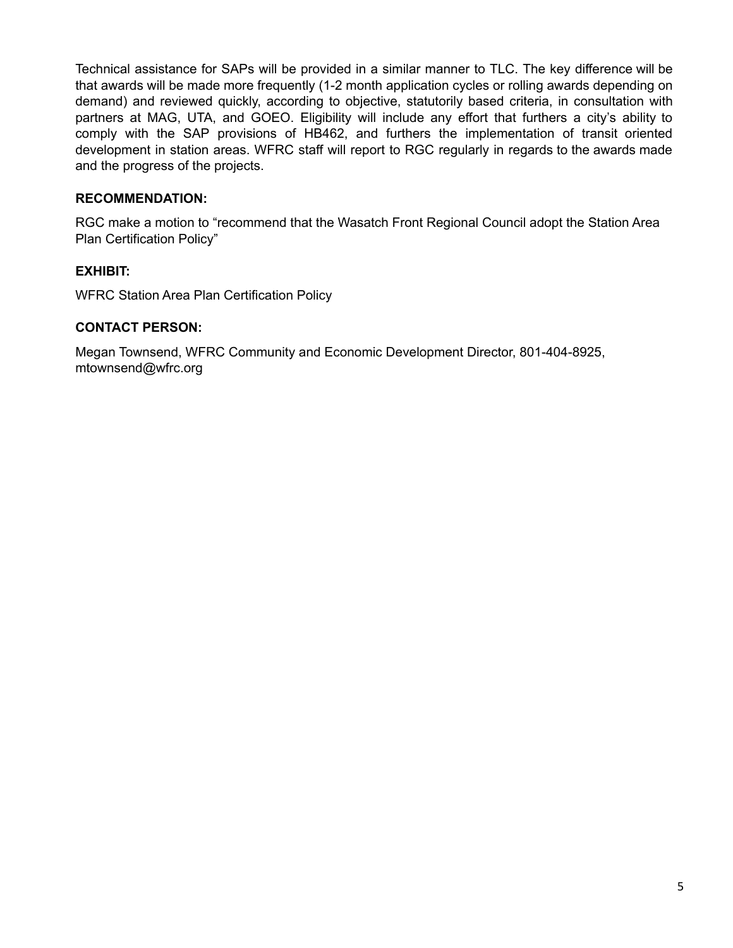Technical assistance for SAPs will be provided in a similar manner to TLC. The key difference will be that awards will be made more frequently (1-2 month application cycles or rolling awards depending on demand) and reviewed quickly, according to objective, statutorily based criteria, in consultation with partners at MAG, UTA, and GOEO. Eligibility will include any effort that furthers a city's ability to comply with the SAP provisions of HB462, and furthers the implementation of transit oriented development in station areas. WFRC staff will report to RGC regularly in regards to the awards made and the progress of the projects.

# **RECOMMENDATION:**

RGC make a motion to "recommend that the Wasatch Front Regional Council adopt the Station Area Plan Certification Policy"

# **EXHIBIT:**

WFRC Station Area Plan Certification Policy

### **CONTACT PERSON:**

Megan Townsend, WFRC Community and Economic Development Director, 801-404-8925, mtownsend@wfrc.org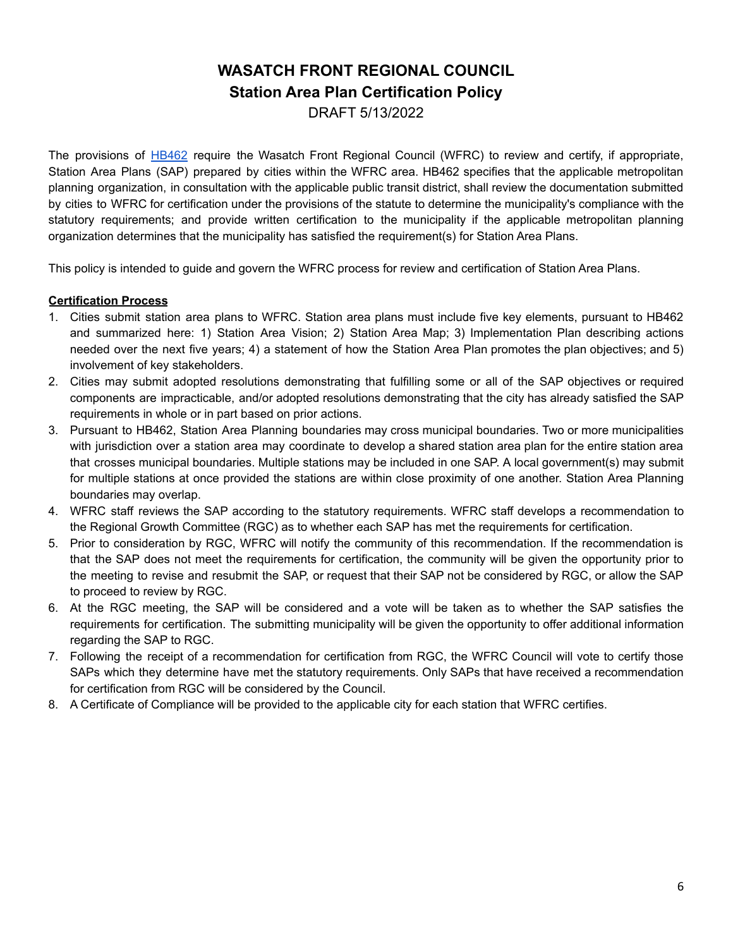# **WASATCH FRONT REGIONAL COUNCIL Station Area Plan Certification Policy**

DRAFT 5/13/2022

The provisions of [HB462](https://le.utah.gov/~2022/bills/static/HB0462.html) require the Wasatch Front Regional Council (WFRC) to review and certify, if appropriate, Station Area Plans (SAP) prepared by cities within the WFRC area. HB462 specifies that the applicable metropolitan planning organization, in consultation with the applicable public transit district, shall review the documentation submitted by cities to WFRC for certification under the provisions of the statute to determine the municipality's compliance with the statutory requirements; and provide written certification to the municipality if the applicable metropolitan planning organization determines that the municipality has satisfied the requirement(s) for Station Area Plans.

This policy is intended to guide and govern the WFRC process for review and certification of Station Area Plans.

#### **Certification Process**

- 1. Cities submit station area plans to WFRC. Station area plans must include five key elements, pursuant to HB462 and summarized here: 1) Station Area Vision; 2) Station Area Map; 3) Implementation Plan describing actions needed over the next five years; 4) a statement of how the Station Area Plan promotes the plan objectives; and 5) involvement of key stakeholders.
- 2. Cities may submit adopted resolutions demonstrating that fulfilling some or all of the SAP objectives or required components are impracticable, and/or adopted resolutions demonstrating that the city has already satisfied the SAP requirements in whole or in part based on prior actions.
- 3. Pursuant to HB462, Station Area Planning boundaries may cross municipal boundaries. Two or more municipalities with jurisdiction over a station area may coordinate to develop a shared station area plan for the entire station area that crosses municipal boundaries. Multiple stations may be included in one SAP. A local government(s) may submit for multiple stations at once provided the stations are within close proximity of one another. Station Area Planning boundaries may overlap.
- 4. WFRC staff reviews the SAP according to the statutory requirements. WFRC staff develops a recommendation to the Regional Growth Committee (RGC) as to whether each SAP has met the requirements for certification.
- 5. Prior to consideration by RGC, WFRC will notify the community of this recommendation. If the recommendation is that the SAP does not meet the requirements for certification, the community will be given the opportunity prior to the meeting to revise and resubmit the SAP, or request that their SAP not be considered by RGC, or allow the SAP to proceed to review by RGC.
- 6. At the RGC meeting, the SAP will be considered and a vote will be taken as to whether the SAP satisfies the requirements for certification. The submitting municipality will be given the opportunity to offer additional information regarding the SAP to RGC.
- 7. Following the receipt of a recommendation for certification from RGC, the WFRC Council will vote to certify those SAPs which they determine have met the statutory requirements. Only SAPs that have received a recommendation for certification from RGC will be considered by the Council.
- 8. A Certificate of Compliance will be provided to the applicable city for each station that WFRC certifies.